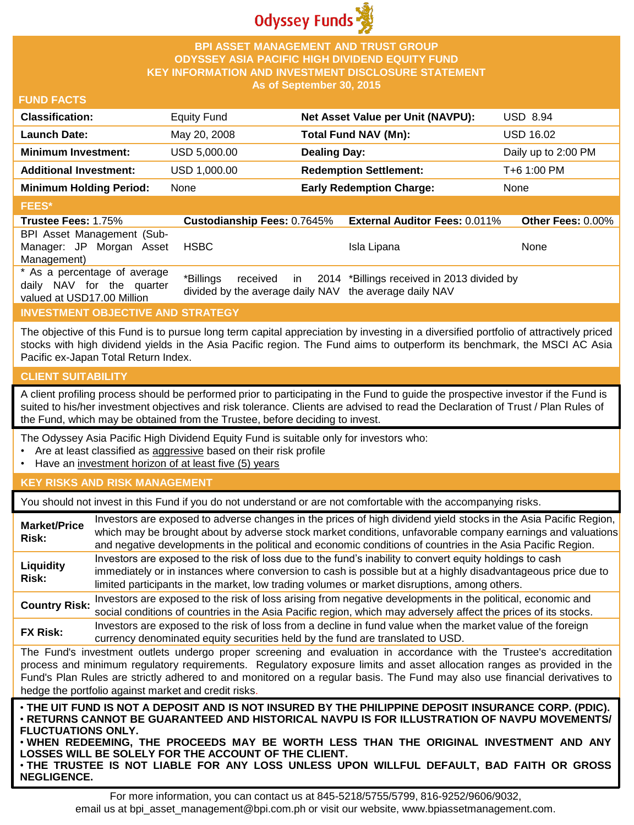

## **BPI ASSET MANAGEMENT AND TRUST GROUP ODYSSEY ASIA PACIFIC HIGH DIVIDEND EQUITY FUND KEY INFORMATION AND INVESTMENT DISCLOSURE STATEMENT As of September 30, 2015**

## **FUND FACTS**

| <b>Classification:</b>         | <b>Equity Fund</b>                 | Net Asset Value per Unit (NAVPU):    | <b>USD 8.94</b>          |
|--------------------------------|------------------------------------|--------------------------------------|--------------------------|
| <b>Launch Date:</b>            | May 20, 2008                       | Total Fund NAV (Mn):                 | <b>USD 16.02</b>         |
| <b>Minimum Investment:</b>     | USD 5,000.00                       | <b>Dealing Day:</b>                  | Daily up to 2:00 PM      |
| <b>Additional Investment:</b>  | USD 1,000.00                       | <b>Redemption Settlement:</b>        | T+6 1:00 PM              |
| <b>Minimum Holding Period:</b> | None                               | <b>Early Redemption Charge:</b>      | None                     |
| <b>FEES*</b>                   |                                    |                                      |                          |
| <b>Trustee Fees: 1.75%</b>     | <b>Custodianship Fees: 0.7645%</b> | <b>External Auditor Fees: 0.011%</b> | <b>Other Fees: 0.00%</b> |

# BPI Asset Management (Sub-

| Manager: JP Morgan Asset<br>Management)                                                 | HSBC                                                   | Isla Lipana                                                      | None |
|-----------------------------------------------------------------------------------------|--------------------------------------------------------|------------------------------------------------------------------|------|
| * As a percentage of average<br>daily NAV for the quarter<br>valued at USD17.00 Million | divided by the average daily NAV the average daily NAV | *Billings received in 2014 *Billings received in 2013 divided by |      |

## **INVESTMENT OBJECTIVE AND STRATEGY**

The objective of this Fund is to pursue long term capital appreciation by investing in a diversified portfolio of attractively priced stocks with high dividend yields in the Asia Pacific region. The Fund aims to outperform its benchmark, the MSCI AC Asia Pacific ex-Japan Total Return Index.

## **CLIENT SUITABILITY**

A client profiling process should be performed prior to participating in the Fund to guide the prospective investor if the Fund is suited to his/her investment objectives and risk tolerance. Clients are advised to read the Declaration of Trust / Plan Rules of the Fund, which may be obtained from the Trustee, before deciding to invest.

The Odyssey Asia Pacific High Dividend Equity Fund is suitable only for investors who:

- Are at least classified as aggressive based on their risk profile
- Have an investment horizon of at least five (5) years

## **KEY RISKS AND RISK MANAGEMENT**

You should not invest in this Fund if you do not understand or are not comfortable with the accompanying risks.

| <b>Market/Price</b><br>Risk:                                                                                                                                                                                                                                                                                                                                                                                                         | Investors are exposed to adverse changes in the prices of high dividend yield stocks in the Asia Pacific Region,<br>which may be brought about by adverse stock market conditions, unfavorable company earnings and valuations<br>and negative developments in the political and economic conditions of countries in the Asia Pacific Region.             |  |  |
|--------------------------------------------------------------------------------------------------------------------------------------------------------------------------------------------------------------------------------------------------------------------------------------------------------------------------------------------------------------------------------------------------------------------------------------|-----------------------------------------------------------------------------------------------------------------------------------------------------------------------------------------------------------------------------------------------------------------------------------------------------------------------------------------------------------|--|--|
| Liquidity<br>Risk:                                                                                                                                                                                                                                                                                                                                                                                                                   | Investors are exposed to the risk of loss due to the fund's inability to convert equity holdings to cash<br>immediately or in instances where conversion to cash is possible but at a highly disadvantageous price due to<br>limited participants in the market, low trading volumes or market disruptions, among others.                                 |  |  |
| <b>Country Risk:</b>                                                                                                                                                                                                                                                                                                                                                                                                                 | Investors are exposed to the risk of loss arising from negative developments in the political, economic and<br>social conditions of countries in the Asia Pacific region, which may adversely affect the prices of its stocks.                                                                                                                            |  |  |
| <b>FX Risk:</b>                                                                                                                                                                                                                                                                                                                                                                                                                      | Investors are exposed to the risk of loss from a decline in fund value when the market value of the foreign<br>currency denominated equity securities held by the fund are translated to USD.                                                                                                                                                             |  |  |
| The Fund's investment outlets undergo proper screening and evaluation in accordance with the Trustee's accreditation<br>process and minimum regulatory requirements. Regulatory exposure limits and asset allocation ranges as provided in the<br>Fund's Plan Rules are strictly adhered to and monitored on a regular basis. The Fund may also use financial derivatives to<br>hedge the portfolio against market and credit risks. |                                                                                                                                                                                                                                                                                                                                                           |  |  |
| <b>FLUCTUATIONS ONLY.</b>                                                                                                                                                                                                                                                                                                                                                                                                            | . THE UIT FUND IS NOT A DEPOSIT AND IS NOT INSURED BY THE PHILIPPINE DEPOSIT INSURANCE CORP. (PDIC).<br><b>• RETURNS CANNOT BE GUARANTEED AND HISTORICAL NAVPU IS FOR ILLUSTRATION OF NAVPU MOVEMENTS/</b><br>. WHEN REDEEMING, THE PROCEEDS MAY BE WORTH LESS THAN THE ORIGINAL INVESTMENT AND ANY<br>OSSES WILL BE SOLELY FOR THE ACCOUNT OF THE CLIENT |  |  |

**LOSSES WILL BE SOLELY FOR THE ACCOUNT OF THE CLIENT.** • **THE TRUSTEE IS NOT LIABLE FOR ANY LOSS UNLESS UPON WILLFUL DEFAULT, BAD FAITH OR GROSS NEGLIGENCE.**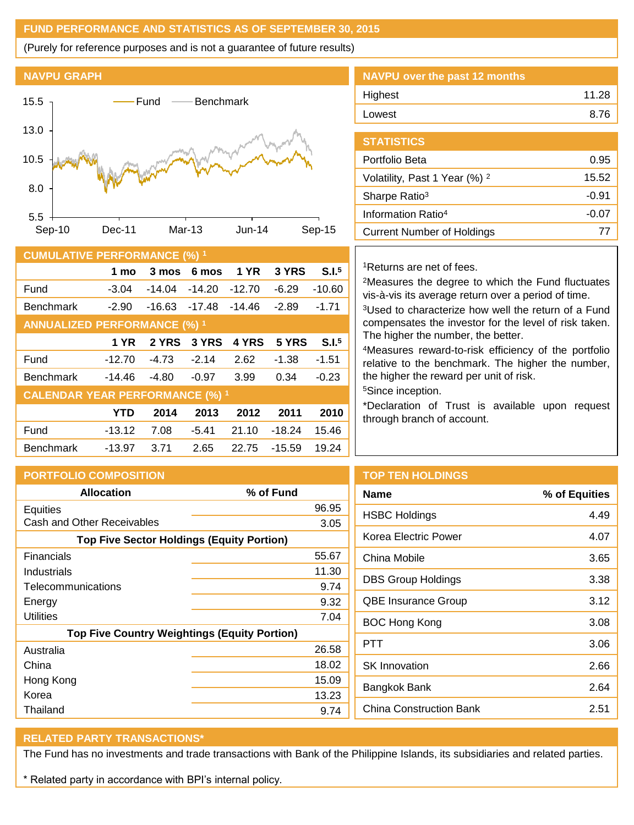## **FUND PERFORMANCE AND STATISTICS AS OF SEPTEMBER 30, 2015**

(Purely for reference purposes and is not a guarantee of future results)



| <b>CUMULATIVE PERFORMANCE (%) 1</b>    |          |          |          |             |          |                   |
|----------------------------------------|----------|----------|----------|-------------|----------|-------------------|
|                                        | 1 mo     | 3 mos    | 6 mos    | <b>1 YR</b> | 3 YRS    | S.I.5             |
| Fund                                   | $-3.04$  | $-14.04$ | $-14.20$ | $-12.70$    | $-6.29$  | $-10.60$          |
| <b>Benchmark</b>                       | $-2.90$  | $-16.63$ | $-17.48$ | $-14.46$    | $-2.89$  | $-1.71$           |
| <b>ANNUALIZED PERFORMANCE (%) 1</b>    |          |          |          |             |          |                   |
|                                        | 1 YR     | 2 YRS    | 3 YRS    | 4 YRS       | 5 YRS    | S.I. <sup>5</sup> |
| Fund                                   | $-12.70$ | $-4.73$  | $-2.14$  | 2.62        | $-1.38$  | $-1.51$           |
| <b>Benchmark</b>                       | $-14.46$ | $-4.80$  | $-0.97$  | 3.99        | 0.34     | $-0.23$           |
| <b>CALENDAR YEAR PERFORMANCE (%) 1</b> |          |          |          |             |          |                   |
|                                        | YTD      | 2014     | 2013     | 2012        | 2011     | 2010              |
| Fund                                   | $-13.12$ | 7.08     | $-5.41$  | 21.10       | $-18.24$ | 15.46             |
| <b>Benchmark</b>                       | $-13.97$ | 3.71     | 2.65     | 22.75       | $-15.59$ | 19.24             |

| NAVPU over the past 12 months |       |
|-------------------------------|-------|
| Highest                       | 11.28 |
| Lowest                        | 8.76  |
|                               |       |

| <b>STATISTICS</b>                        |         |
|------------------------------------------|---------|
| Portfolio Beta                           | 0.95    |
| Volatility, Past 1 Year (%) <sup>2</sup> | 15.52   |
| Sharpe Ratio <sup>3</sup>                | -0.91   |
| Information Ratio <sup>4</sup>           | $-0.07$ |
| <b>Current Number of Holdings</b>        | 77      |
|                                          |         |

## <sup>1</sup>Returns are net of fees.

<sup>2</sup>Measures the degree to which the Fund fluctuates vis-à-vis its average return over a period of time.

<sup>3</sup>Used to characterize how well the return of a Fund compensates the investor for the level of risk taken. The higher the number, the better.

<sup>4</sup>Measures reward-to-risk efficiency of the portfolio relative to the benchmark. The higher the number, the higher the reward per unit of risk.

<sup>5</sup>Since inception.

\*Declaration of Trust is available upon request through branch of account.

| <b>PORTFOLIO COMPOSITION</b>                                     |               | <b>TOP TEN HOLDINGS</b>    |
|------------------------------------------------------------------|---------------|----------------------------|
| <b>Allocation</b>                                                | % of Fund     | <b>Name</b>                |
| Equities<br>Cash and Other Receivables                           | 96.95         | <b>HSBC Holdings</b>       |
| <b>Top Five Sector Holdings (Equity Portion)</b>                 | 3.05          | Korea Electric Power       |
| <b>Financials</b>                                                | 55.67         | China Mobile               |
| Industrials<br>Telecommunications                                | 11.30<br>9.74 | <b>DBS Group Holdings</b>  |
| Energy                                                           | 9.32          | <b>QBE Insurance Group</b> |
| <b>Utilities</b>                                                 | 7.04          | <b>BOC Hong Kong</b>       |
| <b>Top Five Country Weightings (Equity Portion)</b><br>Australia | 26.58         | <b>PTT</b>                 |
| China                                                            | 18.02         | <b>SK Innovation</b>       |
| Hong Kong<br>Korea                                               | 15.09         | Bangkok Bank               |
| Thailand                                                         | 13.23<br>9.74 | China Construction Ba      |

| √ame                 | % of Equities |
|----------------------|---------------|
| <b>ISBC Holdings</b> | 449           |
| Korea Electric Power | 4.07          |
|                      |               |

| <b>HSBC Holdings</b>       | 4.49 |
|----------------------------|------|
| Korea Electric Power       | 4.07 |
| China Mobile               | 3.65 |
| DBS Group Holdings         | 3.38 |
| <b>QBE Insurance Group</b> | 3.12 |
| BOC Hong Kong              | 3.08 |
| PTT                        | 3.06 |
| <b>SK</b> Innovation       | 2.66 |
| Bangkok Bank               | 2.64 |
| China Construction Bank    | 2.51 |

## **RELATED PARTY TRANSACTIONS\***

The Fund has no investments and trade transactions with Bank of the Philippine Islands, its subsidiaries and related parties.

\* Related party in accordance with BPI's internal policy.